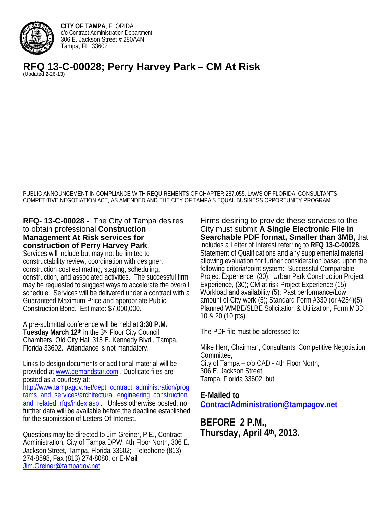

**CITY OF TAMPA**, FLORIDA c/o Contract Administration Department 306 E. Jackson Street # 280A4N Tampa, FL 33602

**RFQ 13-C-00028; Perry Harvey Park – CM At Risk** (Updated 2-26-13)

PUBLIC ANNOUNCEMENT IN COMPLIANCE WITH REQUIREMENTS OF CHAPTER 287.055, LAWS OF FLORIDA, CONSULTANTS COMPETITIVE NEGOTIATION ACT, AS AMENDED AND THE CITY OF TAMPA'S EQUAL BUSINESS OPPORTUNITY PROGRAM

### **RFQ- 13-C-00028 -** The City of Tampa desires to obtain professional **Construction Management At Risk services for construction of Perry Harvey Park**.

Services will include but may not be limited to constructability review, coordination with designer, construction cost estimating, staging, scheduling, construction, and associated activities. The successful firm may be requested to suggest ways to accelerate the overall schedule. Services will be delivered under a contract with a Guaranteed Maximum Price and appropriate Public Construction Bond. Estimate: \$7,000,000.

A pre-submittal conference will be held at **3:30 P.M. Tuesday March 12th** in the 3rd Floor City Council Chambers, Old City Hall 315 E. Kennedy Blvd., Tampa, Florida 33602. Attendance is not mandatory.

Links to design documents or additional material will be provided at www.demandstar.com . Duplicate files are posted as a courtesy at: http://www.tampagov.net/dept\_contract\_administration/prog rams\_and\_services/architectural\_engineering\_construction and related rfgs/index.asp . Unless otherwise posted, no further data will be available before the deadline established for the submission of Letters-Of-Interest.

Questions may be directed to Jim Greiner, P.E., Contract Administration, City of Tampa DPW, 4th Floor North, 306 E. Jackson Street, Tampa, Florida 33602; Telephone (813) 274-8598, Fax (813) 274-8080, or E-Mail Jim.Greiner@tampagov.net.

Firms desiring to provide these services to the City must submit **A Single Electronic File in Searchable PDF format, Smaller than 3MB,** that includes a Letter of Interest referring to **RFQ 13-C-00028**, Statement of Qualifications and any supplemental material allowing evaluation for further consideration based upon the following criteria/point system: Successful Comparable Project Experience, (30); Urban Park Construction Project Experience, (30); CM at risk Project Experience (15); Workload and availability (5); Past performance/Low amount of City work  $(5)$ ; Standard Form #330 (or #254) $(5)$ ; Planned WMBE/SLBE Solicitation & Utilization, Form MBD 10 & 20 (10 pts).

The PDF file must be addressed to:

Mike Herr, Chairman, Consultants' Competitive Negotiation Committee, City of Tampa – c/o CAD - 4th Floor North, 306 E. Jackson Street, Tampa, Florida 33602, but

**E-Mailed to** 

 **ContractAdministration@tampagov.net BEFORE 2 P.M., Thursday, April 4th, 2013.**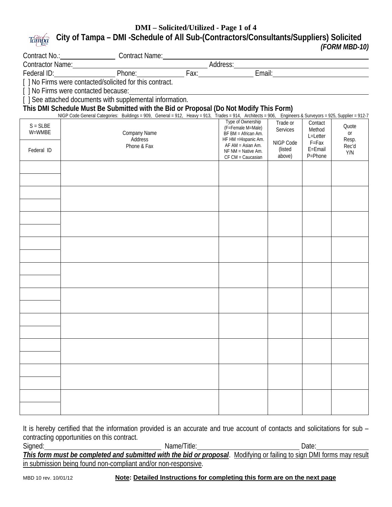#### **DMI – Solicited/Utilized - Page 1 of 4 City of Tampa – DMI -Schedule of All Sub-(Contractors/Consultants/Suppliers) Solicited**  Tampa *(FORM MBD-10)*

|               | Contract No.: Contract Name: Contract Name: Contractor Name: Contractor Name: Federal ID: Phone: Fax: Email: Contract Let all D: Contracted/solicited for this contract. |                                           |                      |                    |                |  |  |
|---------------|--------------------------------------------------------------------------------------------------------------------------------------------------------------------------|-------------------------------------------|----------------------|--------------------|----------------|--|--|
|               |                                                                                                                                                                          |                                           |                      |                    |                |  |  |
|               |                                                                                                                                                                          |                                           |                      |                    |                |  |  |
|               | [ ] No Firms were contacted because:                                                                                                                                     |                                           |                      |                    |                |  |  |
|               | [ ] See attached documents with supplemental information.                                                                                                                |                                           |                      |                    |                |  |  |
|               | This DMI Schedule Must Be Submitted with the Bid or Proposal (Do Not Modify This Form)                                                                                   |                                           |                      |                    |                |  |  |
|               | NIGP Code General Categories: Buildings = 909, General = 912, Heavy = 913, Trades = 914, Architects = 906, Engineers & Surveyors = 925, Supplier = 912-7                 |                                           |                      |                    |                |  |  |
| $S = S L B E$ |                                                                                                                                                                          | Type of Ownership<br>(F=Female M=Male)    | Trade or<br>Services | Contact<br>Method  | Quote          |  |  |
| W=WMBE        | Company Name                                                                                                                                                             | BF BM = African Am.                       |                      | L=Letter           | or             |  |  |
|               | Address<br>Phone & Fax                                                                                                                                                   | HF HM = Hispanic Am.<br>AF AM = Asian Am. | NIGP Code            | $F = Fax$          | Resp.<br>Rec'd |  |  |
| Federal ID    |                                                                                                                                                                          | NF NM = Native Am.                        | (listed              | E=Email<br>P=Phone | Y/N            |  |  |
|               |                                                                                                                                                                          | CF CM = Caucasian                         | above)               |                    |                |  |  |
|               |                                                                                                                                                                          |                                           |                      |                    |                |  |  |
|               |                                                                                                                                                                          |                                           |                      |                    |                |  |  |
|               |                                                                                                                                                                          |                                           |                      |                    |                |  |  |
|               |                                                                                                                                                                          |                                           |                      |                    |                |  |  |
|               |                                                                                                                                                                          |                                           |                      |                    |                |  |  |
|               |                                                                                                                                                                          |                                           |                      |                    |                |  |  |
|               |                                                                                                                                                                          |                                           |                      |                    |                |  |  |
|               |                                                                                                                                                                          |                                           |                      |                    |                |  |  |
|               |                                                                                                                                                                          |                                           |                      |                    |                |  |  |
|               |                                                                                                                                                                          |                                           |                      |                    |                |  |  |
|               |                                                                                                                                                                          |                                           |                      |                    |                |  |  |
|               |                                                                                                                                                                          |                                           |                      |                    |                |  |  |
|               |                                                                                                                                                                          |                                           |                      |                    |                |  |  |
|               |                                                                                                                                                                          |                                           |                      |                    |                |  |  |
|               |                                                                                                                                                                          |                                           |                      |                    |                |  |  |
|               |                                                                                                                                                                          |                                           |                      |                    |                |  |  |
|               |                                                                                                                                                                          |                                           |                      |                    |                |  |  |
|               |                                                                                                                                                                          |                                           |                      |                    |                |  |  |
|               |                                                                                                                                                                          |                                           |                      |                    |                |  |  |
|               |                                                                                                                                                                          |                                           |                      |                    |                |  |  |
|               |                                                                                                                                                                          |                                           |                      |                    |                |  |  |
|               |                                                                                                                                                                          |                                           |                      |                    |                |  |  |
|               |                                                                                                                                                                          |                                           |                      |                    |                |  |  |

It is hereby certified that the information provided is an accurate and true account of contacts and solicitations for sub contracting opportunities on this contract.

Signed: Name/Title: Date: Date: *This form must be completed and submitted with the bid or proposal*. Modifying or failing to sign DMI forms may result in submission being found non-compliant and/or non-responsive.

### MBD 10 rev. 10/01/12 **Note: Detailed Instructions for completing this form are on the next page**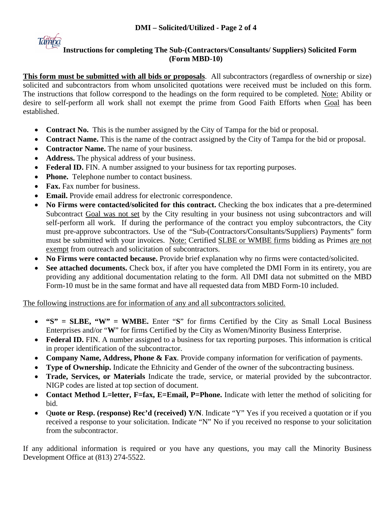

# **Instructions for completing The Sub-(Contractors/Consultants/ Suppliers) Solicited Form (Form MBD-10)**

**This form must be submitted with all bids or proposals**. All subcontractors (regardless of ownership or size) solicited and subcontractors from whom unsolicited quotations were received must be included on this form. The instructions that follow correspond to the headings on the form required to be completed. Note: Ability or desire to self-perform all work shall not exempt the prime from Good Faith Efforts when Goal has been established.

- **Contract No.** This is the number assigned by the City of Tampa for the bid or proposal.
- **Contract Name.** This is the name of the contract assigned by the City of Tampa for the bid or proposal.
- **Contractor Name.** The name of your business.
- **Address.** The physical address of your business.
- Federal ID. FIN. A number assigned to your business for tax reporting purposes.
- **Phone.** Telephone number to contact business.
- **Fax.** Fax number for business.
- **Email.** Provide email address for electronic correspondence.
- **No Firms were contacted/solicited for this contract.** Checking the box indicates that a pre-determined Subcontract Goal was not set by the City resulting in your business not using subcontractors and will self-perform all work. If during the performance of the contract you employ subcontractors, the City must pre-approve subcontractors. Use of the "Sub-(Contractors/Consultants/Suppliers) Payments" form must be submitted with your invoices. Note: Certified SLBE or WMBE firms bidding as Primes are not exempt from outreach and solicitation of subcontractors.
- **No Firms were contacted because.** Provide brief explanation why no firms were contacted/solicited.
- See attached documents. Check box, if after you have completed the DMI Form in its entirety, you are providing any additional documentation relating to the form. All DMI data not submitted on the MBD Form-10 must be in the same format and have all requested data from MBD Form-10 included.

The following instructions are for information of any and all subcontractors solicited.

- **"S" = SLBE, "W" = WMBE.** Enter "**S**" for firms Certified by the City as Small Local Business Enterprises and/or "**W**" for firms Certified by the City as Women/Minority Business Enterprise.
- **Federal ID.** FIN. A number assigned to a business for tax reporting purposes. This information is critical in proper identification of the subcontractor.
- **Company Name, Address, Phone & Fax**. Provide company information for verification of payments.
- **Type of Ownership.** Indicate the Ethnicity and Gender of the owner of the subcontracting business.
- **Trade, Services, or Materials** Indicate the trade, service, or material provided by the subcontractor. NIGP codes are listed at top section of document.
- Contact Method L=letter, F=fax, E=Email, P=Phone. Indicate with letter the method of soliciting for bid.
- Q**uote or Resp. (response) Rec'd (received) Y/N**. Indicate "Y" Yes if you received a quotation or if you received a response to your solicitation. Indicate "N" No if you received no response to your solicitation from the subcontractor.

If any additional information is required or you have any questions, you may call the Minority Business Development Office at (813) 274-5522.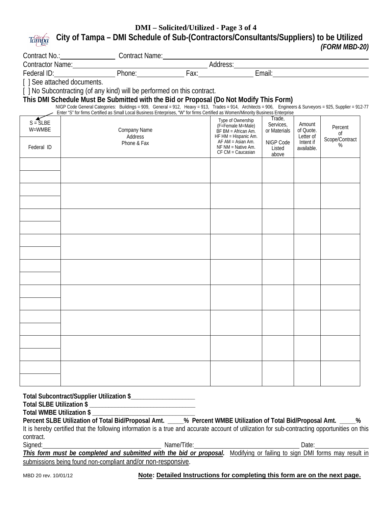#### **DMI – Solicited/Utilized - Page 3 of 4 City of Tampa – DMI Schedule of Sub-(Contractors/Consultants/Suppliers) to be Utilized**  Tampa *(FORM MBD-20)*

|            |                                                                                                                                                                                                                                   | Contract No.:<br>Contractor Name: Contractor Name: Contractor Name: Contractor Name: Phone: Phone: Fax: Email: Contractor International Phone: Phone: Phone: Phone: Phone: Phone: Phone: Phone: Phone: Phone: Phone: Phone: Phon |                                              |                           |                        |                      |  |  |
|------------|-----------------------------------------------------------------------------------------------------------------------------------------------------------------------------------------------------------------------------------|----------------------------------------------------------------------------------------------------------------------------------------------------------------------------------------------------------------------------------|----------------------------------------------|---------------------------|------------------------|----------------------|--|--|
|            |                                                                                                                                                                                                                                   |                                                                                                                                                                                                                                  |                                              |                           |                        |                      |  |  |
|            |                                                                                                                                                                                                                                   |                                                                                                                                                                                                                                  |                                              |                           |                        |                      |  |  |
|            | [ ] No Subcontracting (of any kind) will be performed on this contract.                                                                                                                                                           |                                                                                                                                                                                                                                  |                                              |                           |                        |                      |  |  |
|            | This DMI Schedule Must Be Submitted with the Bid or Proposal (Do Not Modify This Form)<br>NIGP Code General Categories: Buildings = 909, General = 912, Heavy = 913, Trades = 914, Architects = 906, Engineers & Surveyors = 925, |                                                                                                                                                                                                                                  |                                              |                           |                        |                      |  |  |
|            | Enter "S" for firms Certified as Small Local Business Enterprises, "W" for firms Certified as Women/Minority Business Enterprise                                                                                                  |                                                                                                                                                                                                                                  |                                              |                           |                        |                      |  |  |
| $S = SLBE$ |                                                                                                                                                                                                                                   |                                                                                                                                                                                                                                  | Type of Ownership                            | Trade,                    |                        |                      |  |  |
| W=WMBE     | Company Name                                                                                                                                                                                                                      |                                                                                                                                                                                                                                  | (F=Female M=Male)<br>BF BM = African Am.     | Services.<br>or Materials | Amount<br>of Quote.    | Percent              |  |  |
|            | Address                                                                                                                                                                                                                           |                                                                                                                                                                                                                                  | HF HM = Hispanic Am.<br>$AF AM = Asian Am$ . | NIGP Code                 | Letter of<br>Intent if | 0f<br>Scope/Contract |  |  |
| Federal ID | Phone & Fax                                                                                                                                                                                                                       |                                                                                                                                                                                                                                  | NF NM = Native Am.<br>CF CM = Caucasian      | Listed<br>above           | available.             | $\%$                 |  |  |
|            |                                                                                                                                                                                                                                   |                                                                                                                                                                                                                                  |                                              |                           |                        |                      |  |  |
|            |                                                                                                                                                                                                                                   |                                                                                                                                                                                                                                  |                                              |                           |                        |                      |  |  |
|            |                                                                                                                                                                                                                                   |                                                                                                                                                                                                                                  |                                              |                           |                        |                      |  |  |
|            |                                                                                                                                                                                                                                   |                                                                                                                                                                                                                                  |                                              |                           |                        |                      |  |  |
|            |                                                                                                                                                                                                                                   |                                                                                                                                                                                                                                  |                                              |                           |                        |                      |  |  |
|            |                                                                                                                                                                                                                                   |                                                                                                                                                                                                                                  |                                              |                           |                        |                      |  |  |
|            |                                                                                                                                                                                                                                   |                                                                                                                                                                                                                                  |                                              |                           |                        |                      |  |  |
|            |                                                                                                                                                                                                                                   |                                                                                                                                                                                                                                  |                                              |                           |                        |                      |  |  |
|            |                                                                                                                                                                                                                                   |                                                                                                                                                                                                                                  |                                              |                           |                        |                      |  |  |
|            |                                                                                                                                                                                                                                   |                                                                                                                                                                                                                                  |                                              |                           |                        |                      |  |  |
|            |                                                                                                                                                                                                                                   |                                                                                                                                                                                                                                  |                                              |                           |                        |                      |  |  |
|            |                                                                                                                                                                                                                                   |                                                                                                                                                                                                                                  |                                              |                           |                        |                      |  |  |
|            |                                                                                                                                                                                                                                   |                                                                                                                                                                                                                                  |                                              |                           |                        |                      |  |  |
|            |                                                                                                                                                                                                                                   |                                                                                                                                                                                                                                  |                                              |                           |                        |                      |  |  |
|            |                                                                                                                                                                                                                                   |                                                                                                                                                                                                                                  |                                              |                           |                        |                      |  |  |
|            |                                                                                                                                                                                                                                   |                                                                                                                                                                                                                                  |                                              |                           |                        |                      |  |  |
|            |                                                                                                                                                                                                                                   |                                                                                                                                                                                                                                  |                                              |                           |                        |                      |  |  |
|            |                                                                                                                                                                                                                                   |                                                                                                                                                                                                                                  |                                              |                           |                        |                      |  |  |

**Total Subcontract/Supplier Utilization \$\_\_\_\_\_\_\_\_\_\_\_\_\_\_\_\_\_\_\_\_** 

**Total SLBE Utilization \$ \_\_\_\_\_\_\_\_\_\_\_\_\_\_\_\_\_\_\_\_\_\_\_\_\_\_\_\_\_\_\_\_\_** 

**Total WMBE Utilization \$ \_\_\_\_\_\_\_\_\_\_\_\_\_\_\_\_\_\_\_\_\_\_\_\_\_\_\_\_\_\_\_\_** 

**Percent SLBE Utilization of Total Bid/Proposal Amt. \_\_\_\_\_% Percent WMBE Utilization of Total Bid/Proposal Amt. \_\_\_\_\_%**  It is hereby certified that the following information is a true and accurate account of utilization for sub-contracting opportunities on this contract.

Signed:

Signed: Name/Title: Name/Title: 2008. 2008. 2014. Date:

This form must be completed and submitted with the bid or proposal. Modifying or failing to sign DMI forms may result in submissions being found non-compliant and/or non-responsive.

MBD 20 rev. 10/01/12 **Note: Detailed Instructions for completing this form are on the next page.**